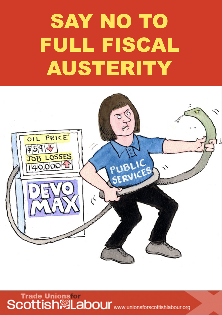## SAY NO TO FULL FISCAL AUSTERITY



Trade Unionsfor<br>Scottish※Labour www.unionsforscottishlabour.org